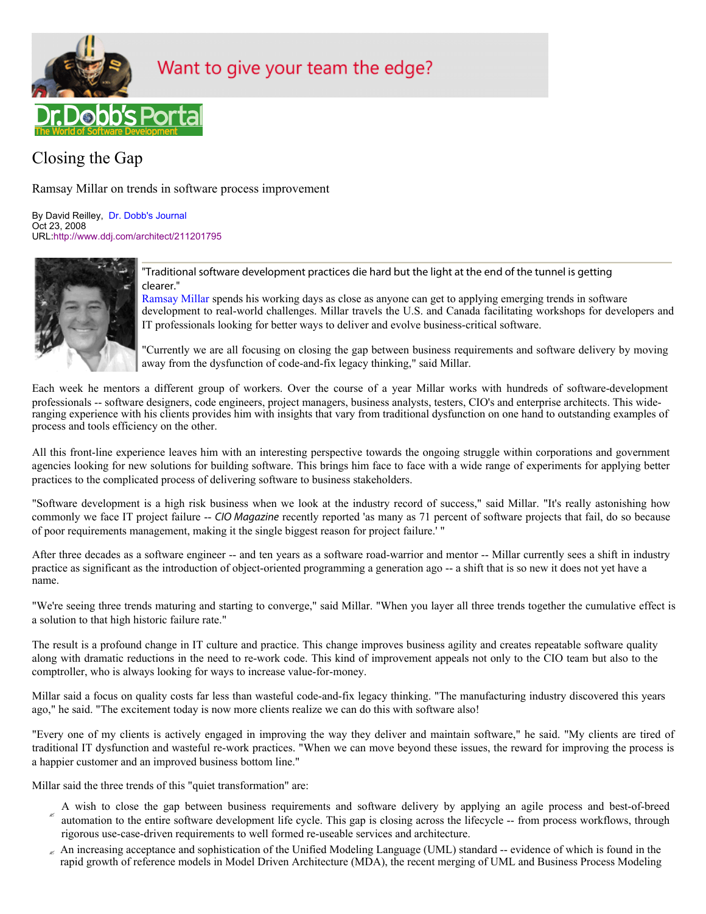

# Want to give your team the edge?

# Closing the Gap

Ramsay Millar on trends in software process improvement

By David Reilley, Dr. Dobb's Journal Oct 23, 2008 URL:http://www.ddj.com/architect/211201795



"Traditional software development practices die hard but the light at the end of the tunnel is getting clearer."

Ramsay Millar spends his working days as close as anyone can get to applying emerging trends in software development to real-world challenges. Millar travels the U.S. and Canada facilitating workshops for developers and IT professionals looking for better ways to deliver and evolve business-critical software.

"Currently we are all focusing on closing the gap between business requirements and software delivery by moving away from the dysfunction of code-and-fix legacy thinking," said Millar.

Each week he mentors a different group of workers. Over the course of a year Millar works with hundreds of software-development professionals -- software designers, code engineers, project managers, business analysts, testers, CIO's and enterprise architects. This wideranging experience with his clients provides him with insights that vary from traditional dysfunction on one hand to outstanding examples of process and tools efficiency on the other.

All this front-line experience leaves him with an interesting perspective towards the ongoing struggle within corporations and government agencies looking for new solutions for building software. This brings him face to face with a wide range of experiments for applying better practices to the complicated process of delivering software to business stakeholders.

"Software development is a high risk business when we look at the industry record of success," said Millar. "It's really astonishing how commonly we face IT project failure -- *CIO Magazine* recently reported 'as many as 71 percent of software projects that fail, do so because of poor requirements management, making it the single biggest reason for project failure.' "

After three decades as a software engineer -- and ten years as a software road-warrior and mentor -- Millar currently sees a shift in industry practice as significant as the introduction of object-oriented programming a generation ago -- a shift that is so new it does not yet have a name.

"We're seeing three trends maturing and starting to converge," said Millar. "When you layer all three trends together the cumulative effect is a solution to that high historic failure rate."

The result is a profound change in IT culture and practice. This change improves business agility and creates repeatable software quality along with dramatic reductions in the need to re-work code. This kind of improvement appeals not only to the CIO team but also to the comptroller, who is always looking for ways to increase value-for-money.

Millar said a focus on quality costs far less than wasteful code-and-fix legacy thinking. "The manufacturing industry discovered this years ago," he said. "The excitement today is now more clients realize we can do this with software also!

"Every one of my clients is actively engaged in improving the way they deliver and maintain software," he said. "My clients are tired of traditional IT dysfunction and wasteful re-work practices. "When we can move beyond these issues, the reward for improving the process is a happier customer and an improved business bottom line."

Millar said the three trends of this "quiet transformation" are:

- A wish to close the gap between business requirements and software delivery by applying an agile process and best-of-breed automation to the entire software development life cycle. This gap is closing across the lifecycle -- from process workflows, through rigorous use-case-driven requirements to well formed re-useable services and architecture.
- $\epsilon$  An increasing acceptance and sophistication of the Unified Modeling Language (UML) standard -- evidence of which is found in the rapid growth of reference models in Model Driven Architecture (MDA), the recent merging of UML and Business Process Modeling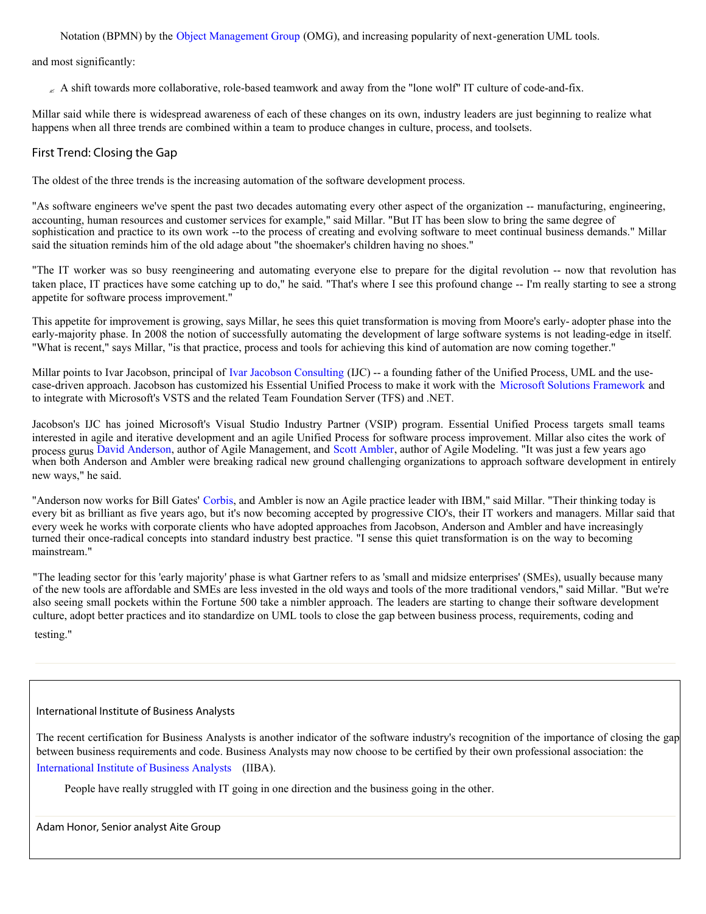Notation (BPMN) by the Object Management Group (OMG), and increasing popularity of next-generation UML tools.

and most significantly:

 $\sim$  A shift towards more collaborative, role-based teamwork and away from the "lone wolf" IT culture of code-and-fix.

Millar said while there is widespread awareness of each of these changes on its own, industry leaders are just beginning to realize what happens when all three trends are combined within a team to produce changes in culture, process, and toolsets.

# First Trend: Closing the Gap

The oldest of the three trends is the increasing automation of the software development process.

"As software engineers we've spent the past two decades automating every other aspect of the organization -- manufacturing, engineering, accounting, human resources and customer services for example," said Millar. "But IT has been slow to bring the same degree of sophistication and practice to its own work --to the process of creating and evolving software to meet continual business demands." Millar said the situation reminds him of the old adage about "the shoemaker's children having no shoes."

"The IT worker was so busy reengineering and automating everyone else to prepare for the digital revolution -- now that revolution has taken place, IT practices have some catching up to do," he said. "That's where I see this profound change -- I'm really starting to see a strong appetite for software process improvement."

This appetite for improvement is growing, says Millar, he sees this quiet transformation is moving from Moore's early- adopter phase into the early-majority phase. In 2008 the notion of successfully automating the development of large software systems is not leading-edge in itself. "What is recent," says Millar, "is that practice, process and tools for achieving this kind of automation are now coming together."

Millar points to Ivar Jacobson, principal of Ivar Jacobson Consulting (IJC) -- a founding father of the Unified Process, UML and the usecase-driven approach. Jacobson has customized his Essential Unified Process to make it work with the Microsoft Solutions Framework and to integrate with Microsoft's VSTS and the related Team Foundation Server (TFS) and .NET.

Jacobson's IJC has joined Microsoft's Visual Studio Industry Partner (VSIP) program. Essential Unified Process targets small teams interested in agile and iterative development and an agile Unified Process for software process improvement. Millar also cites the work of process gurus David Anderson, author of Agile Management, and Scott Ambler, author of Agile Modeling. "It was just a few years ago when both Anderson and Ambler were breaking radical new ground challenging organizations to approach software development in entirely new ways," he said.

"Anderson now works for Bill Gates' Corbis, and Ambler is now an Agile practice leader with IBM," said Millar. "Their thinking today is every bit as brilliant as five years ago, but it's now becoming accepted by progressive CIO's, their IT workers and managers. Millar said that every week he works with corporate clients who have adopted approaches from Jacobson, Anderson and Ambler and have increasingly turned their once-radical concepts into standard industry best practice. "I sense this quiet transformation is on the way to becoming mainstream."

also seeing small pockets within the Fortune 500 take a nimbler approach. The leaders are starting to change their software development culture, adopt better practices and ito standardize on UML tools to close the gap between business process, requirements, coding and testing." of the new tools are affordable and SMEs are less invested in the old ways and tools of the more traditional vendors," said Millar. "But we're "The leading sector for this 'early majority' phase is what Gartner refers to as 'small and midsize enterprises' (SMEs), usually because many

### International Institute of Business Analysts

International Institute of Business Analysts (IIBA). The recent certification for Business Analysts is another indicator of the software industry's recognition of the importance of closing the gap between business requirements and code. Business Analysts may now choose to be certified by their own professional association: the

People have really struggled with IT going in one direction and the business going in the other.

Adam Honor, Senior analyst Aite Group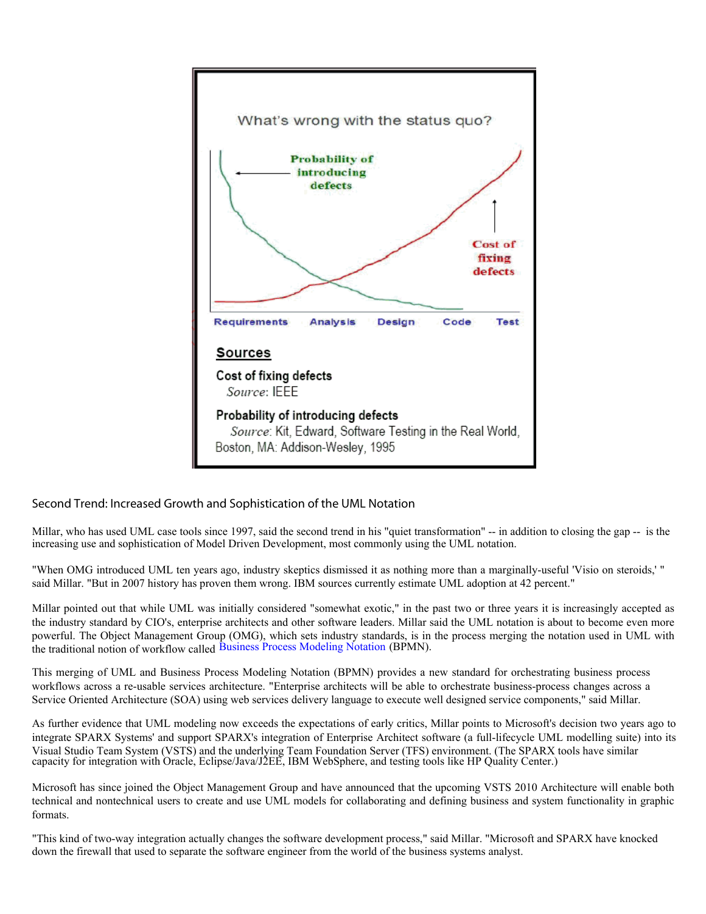

# Second Trend: Increased Growth and Sophistication of the UML Notation

Millar, who has used UML case tools since 1997, said the second trend in his "quiet transformation" -- in addition to closing the gap -- is the increasing use and sophistication of Model Driven Development, most commonly using the UML notation.

"When OMG introduced UML ten years ago, industry skeptics dismissed it as nothing more than a marginally-useful 'Visio on steroids,' " said Millar. "But in 2007 history has proven them wrong. IBM sources currently estimate UML adoption at 42 percent."

Millar pointed out that while UML was initially considered "somewhat exotic," in the past two or three years it is increasingly accepted as the industry standard by CIO's, enterprise architects and other software leaders. Millar said the UML notation is about to become even more powerful. The Object Management Group (OMG), which sets industry standards, is in the process merging the notation used in UML with the traditional notion of workflow called Business Process Modeling Notation (BPMN).

This merging of UML and Business Process Modeling Notation (BPMN) provides a new standard for orchestrating business process workflows across a re-usable services architecture. "Enterprise architects will be able to orchestrate business-process changes across a Service Oriented Architecture (SOA) using web services delivery language to execute well designed service components," said Millar.

As further evidence that UML modeling now exceeds the expectations of early critics, Millar points to Microsoft's decision two years ago to integrate SPARX Systems' and support SPARX's integration of Enterprise Architect software (a full-lifecycle UML modelling suite) into its Visual Studio Team System (VSTS) and the underlying Team Foundation Server (TFS) environment. (The SPARX tools have similar capacity for integration with Oracle, Eclipse/Java/J2EE, IBM WebSphere, and testing tools like HP Quality Center.)

Microsoft has since joined the Object Management Group and have announced that the upcoming VSTS 2010 Architecture will enable both technical and nontechnical users to create and use UML models for collaborating and defining business and system functionality in graphic formats.

"This kind of two-way integration actually changes the software development process," said Millar. "Microsoft and SPARX have knocked down the firewall that used to separate the software engineer from the world of the business systems analyst.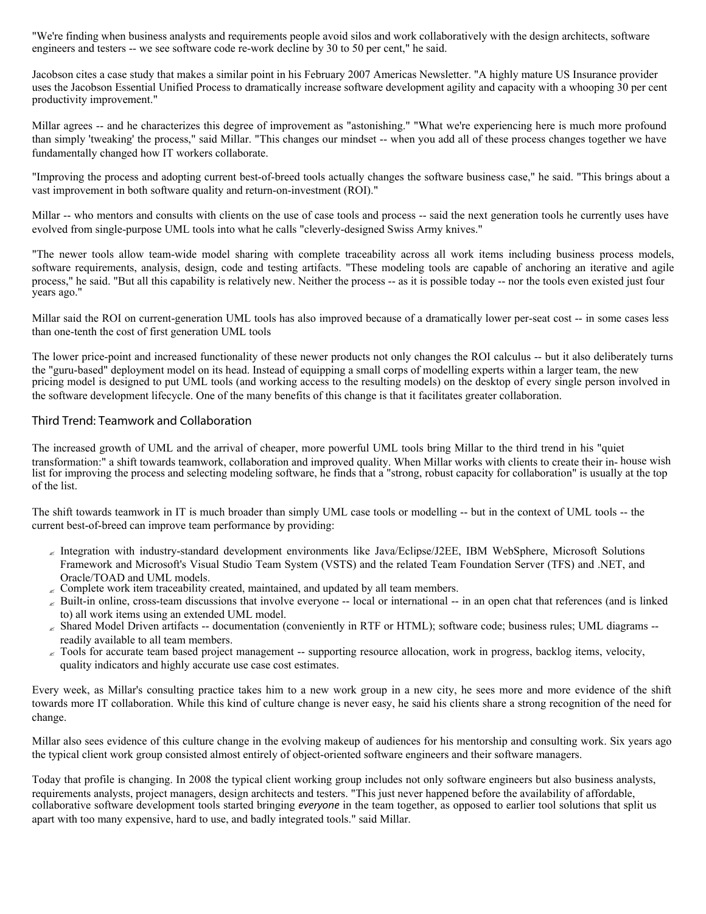"We're finding when business analysts and requirements people avoid silos and work collaboratively with the design architects, software engineers and testers -- we see software code re-work decline by 30 to 50 per cent," he said.

Jacobson cites a case study that makes a similar point in his February 2007 Americas Newsletter. "A highly mature US Insurance provider uses the Jacobson Essential Unified Process to dramatically increase software development agility and capacity with a whooping 30 per cent productivity improvement."

Millar agrees -- and he characterizes this degree of improvement as "astonishing." "What we're experiencing here is much more profound than simply 'tweaking' the process," said Millar. "This changes our mindset -- when you add all of these process changes together we have fundamentally changed how IT workers collaborate.

"Improving the process and adopting current best-of-breed tools actually changes the software business case," he said. "This brings about a vast improvement in both software quality and return-on-investment (ROI)."

Millar -- who mentors and consults with clients on the use of case tools and process -- said the next generation tools he currently uses have evolved from single-purpose UML tools into what he calls "cleverly-designed Swiss Army knives."

"The newer tools allow team-wide model sharing with complete traceability across all work items including business process models, software requirements, analysis, design, code and testing artifacts. "These modeling tools are capable of anchoring an iterative and agile process," he said. "But all this capability is relatively new. Neither the process -- as it is possible today -- nor the tools even existed just four years ago."

Millar said the ROI on current-generation UML tools has also improved because of a dramatically lower per-seat cost -- in some cases less than one-tenth the cost of first generation UML tools

The lower price-point and increased functionality of these newer products not only changes the ROI calculus -- but it also deliberately turns the "guru-based" deployment model on its head. Instead of equipping a small corps of modelling experts within a larger team, the new pricing model is designed to put UML tools (and working access to the resulting models) on the desktop of every single person involved in the software development lifecycle. One of the many benefits of this change is that it facilitates greater collaboration.

## Third Trend: Teamwork and Collaboration

The increased growth of UML and the arrival of cheaper, more powerful UML tools bring Millar to the third trend in his "quiet transformation:" a shift towards teamwork, collaboration and improved quality. When Millar works with clients to create their in- house wish list for improving the process and selecting modeling software, he finds that a "strong, robust capacity for collaboration" is usually at the top of the list.

The shift towards teamwork in IT is much broader than simply UML case tools or modelling -- but in the context of UML tools -- the current best-of-breed can improve team performance by providing:

- Integration with industry-standard development environments like Java/Eclipse/J2EE, IBM WebSphere, Microsoft Solutions Framework and Microsoft's Visual Studio Team System (VSTS) and the related Team Foundation Server (TFS) and .NET, and Oracle/TOAD and UML models.
- $\epsilon$  Complete work item traceability created, maintained, and updated by all team members.
- $\epsilon$  Built-in online, cross-team discussions that involve everyone -- local or international -- in an open chat that references (and is linked to) all work items using an extended UML model.
- $\epsilon$  Shared Model Driven artifacts -- documentation (conveniently in RTF or HTML); software code; business rules; UML diagrams -readily available to all team members.
- $\epsilon$  Tools for accurate team based project management -- supporting resource allocation, work in progress, backlog items, velocity, quality indicators and highly accurate use case cost estimates.

Every week, as Millar's consulting practice takes him to a new work group in a new city, he sees more and more evidence of the shift towards more IT collaboration. While this kind of culture change is never easy, he said his clients share a strong recognition of the need for change.

Millar also sees evidence of this culture change in the evolving makeup of audiences for his mentorship and consulting work. Six years ago the typical client work group consisted almost entirely of object-oriented software engineers and their software managers.

Today that profile is changing. In 2008 the typical client working group includes not only software engineers but also business analysts, requirements analysts, project managers, design architects and testers. "This just never happened before the availability of affordable, collaborative software development tools started bringing *everyone* in the team together, as opposed to earlier tool solutions that split us apart with too many expensive, hard to use, and badly integrated tools." said Millar.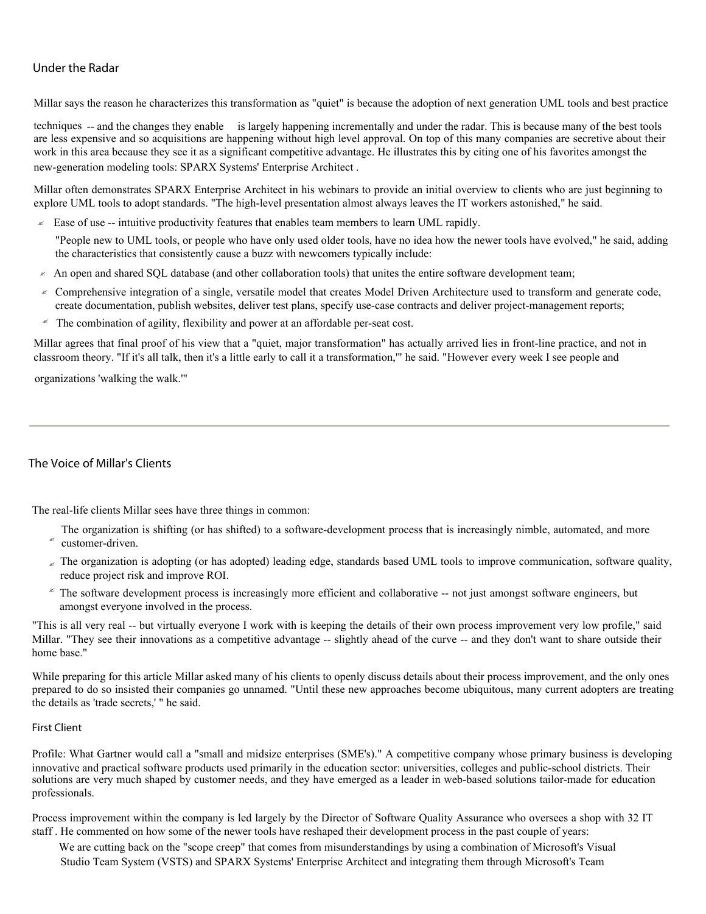# Under the Radar

Millar says the reason he characterizes this transformation as "quiet" is because the adoption of next generation UML tools and best practice

techniques -- and the changes they enable is largely happening incrementally and under the radar. This is because many of the best tools are less expensive and so acquisitions are happening without high level approval. On top of this many companies are secretive about their work in this area because they see it as a significant competitive advantage. He illustrates this by citing one of his favorites amongst the new-generation modeling tools: SPARX Systems' Enterprise Architect .

Millar often demonstrates SPARX Enterprise Architect in his webinars to provide an initial overview to clients who are just beginning to explore UML tools to adopt standards. "The high-level presentation almost always leaves the IT workers astonished," he said.

 $\leq$  Ease of use -- intuitive productivity features that enables team members to learn UML rapidly.

"People new to UML tools, or people who have only used older tools, have no idea how the newer tools have evolved," he said, adding the characteristics that consistently cause a buzz with newcomers typically include:

- $\le$  An open and shared SQL database (and other collaboration tools) that unites the entire software development team;
- Comprehensive integration of a single, versatile model that creates Model Driven Architecture used to transform and generate code, create documentation, publish websites, deliver test plans, specify use-case contracts and deliver project-management reports;
- $*$  The combination of agility, flexibility and power at an affordable per-seat cost.

Millar agrees that final proof of his view that a "quiet, major transformation" has actually arrived lies in front-line practice, and not in classroom theory. "If it's all talk, then it's a little early to call it a transformation,'" he said. "However every week I see people and

organizations 'walking the walk.'"

# The Voice of Millar's Clients

The real-life clients Millar sees have three things in common:

- $\epsilon$  customer-driven. The organization is shifting (or has shifted) to a software-development process that is increasingly nimble, automated, and more
- The organization is adopting (or has adopted) leading edge, standards based UML tools to improve communication, software quality, reduce project risk and improve ROI.
- $\epsilon$  The software development process is increasingly more efficient and collaborative  $-$  not just amongst software engineers, but amongst everyone involved in the process.

"This is all very real -- but virtually everyone I work with is keeping the details of their own process improvement very low profile," said Millar. "They see their innovations as a competitive advantage -- slightly ahead of the curve -- and they don't want to share outside their home base."

While preparing for this article Millar asked many of his clients to openly discuss details about their process improvement, and the only ones prepared to do so insisted their companies go unnamed. "Until these new approaches become ubiquitous, many current adopters are treating the details as 'trade secrets,' " he said.

#### First Client

Profile: What Gartner would call a "small and midsize enterprises (SME's)." A competitive company whose primary business is developing innovative and practical software products used primarily in the education sector: universities, colleges and public-school districts. Their solutions are very much shaped by customer needs, and they have emerged as a leader in web-based solutions tailor-made for education professionals.

Process improvement within the company is led largely by the Director of Software Quality Assurance who oversees a shop with 32 IT staff . He commented on how some of the newer tools have reshaped their development process in the past couple of years:

We are cutting back on the "scope creep" that comes from misunderstandings by using a combination of Microsoft's Visual Studio Team System (VSTS) and SPARX Systems' Enterprise Architect and integrating them through Microsoft's Team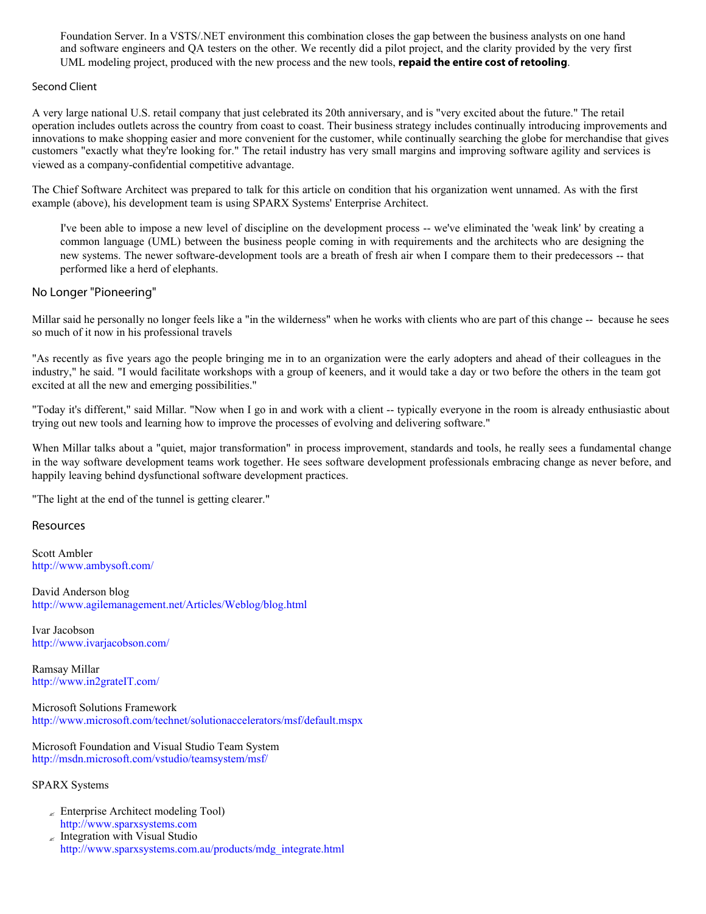Foundation Server. In a VSTS/.NET environment this combination closes the gap between the business analysts on one hand and software engineers and QA testers on the other. We recently did a pilot project, and the clarity provided by the very first UML modeling project, produced with the new process and the new tools, **repaid the entire cost of retooling**.

#### Second Client

A very large national U.S. retail company that just celebrated its 20th anniversary, and is "very excited about the future." The retail operation includes outlets across the country from coast to coast. Their business strategy includes continually introducing improvements and innovations to make shopping easier and more convenient for the customer, while continually searching the globe for merchandise that gives customers "exactly what they're looking for." The retail industry has very small margins and improving software agility and services is viewed as a company-confidential competitive advantage.

The Chief Software Architect was prepared to talk for this article on condition that his organization went unnamed. As with the first example (above), his development team is using SPARX Systems' Enterprise Architect.

I've been able to impose a new level of discipline on the development process -- we've eliminated the 'weak link' by creating a common language (UML) between the business people coming in with requirements and the architects who are designing the new systems. The newer software-development tools are a breath of fresh air when I compare them to their predecessors -- that performed like a herd of elephants.

### No Longer "Pioneering"

Millar said he personally no longer feels like a "in the wilderness" when he works with clients who are part of this change -- because he sees so much of it now in his professional travels

"As recently as five years ago the people bringing me in to an organization were the early adopters and ahead of their colleagues in the industry," he said. "I would facilitate workshops with a group of keeners, and it would take a day or two before the others in the team got excited at all the new and emerging possibilities."

"Today it's different," said Millar. "Now when I go in and work with a client -- typically everyone in the room is already enthusiastic about trying out new tools and learning how to improve the processes of evolving and delivering software."

When Millar talks about a "quiet, major transformation" in process improvement, standards and tools, he really sees a fundamental change in the way software development teams work together. He sees software development professionals embracing change as never before, and happily leaving behind dysfunctional software development practices.

"The light at the end of the tunnel is getting clearer."

### **Resources**

Scott Ambler http://www.ambysoft.com/

David Anderson blog http://www.agilemanagement.net/Articles/Weblog/blog.html

Ivar Jacobson http://www.ivarjacobson.com/

Ramsay Millar http://www.in2grateIT.com/

Microsoft Solutions Framework http://www.microsoft.com/technet/solutionaccelerators/msf/default.mspx

Microsoft Foundation and Visual Studio Team System http://msdn.microsoft.com/vstudio/teamsystem/msf/

SPARX Systems

- $\angle$  Enterprise Architect modeling Tool) http://www.sparxsystems.com
- $\epsilon$  Integration with Visual Studio http://www.sparxsystems.com.au/products/mdg\_integrate.html